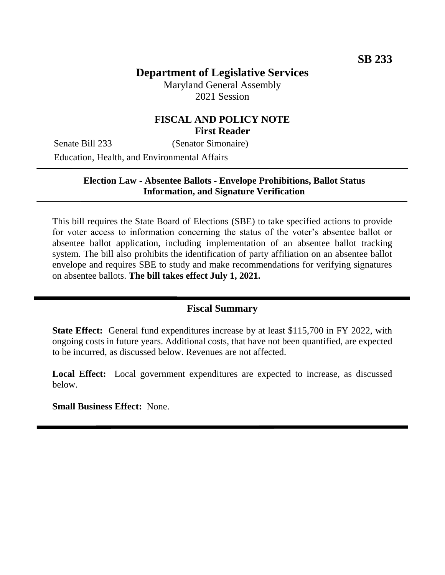# **Department of Legislative Services**

Maryland General Assembly 2021 Session

# **FISCAL AND POLICY NOTE First Reader**

Senate Bill 233 (Senator Simonaire) Education, Health, and Environmental Affairs

## **Election Law - Absentee Ballots - Envelope Prohibitions, Ballot Status Information, and Signature Verification**

This bill requires the State Board of Elections (SBE) to take specified actions to provide for voter access to information concerning the status of the voter's absentee ballot or absentee ballot application, including implementation of an absentee ballot tracking system. The bill also prohibits the identification of party affiliation on an absentee ballot envelope and requires SBE to study and make recommendations for verifying signatures on absentee ballots. **The bill takes effect July 1, 2021.**

## **Fiscal Summary**

**State Effect:** General fund expenditures increase by at least \$115,700 in FY 2022, with ongoing costs in future years. Additional costs, that have not been quantified, are expected to be incurred, as discussed below. Revenues are not affected.

**Local Effect:** Local government expenditures are expected to increase, as discussed below.

**Small Business Effect:** None.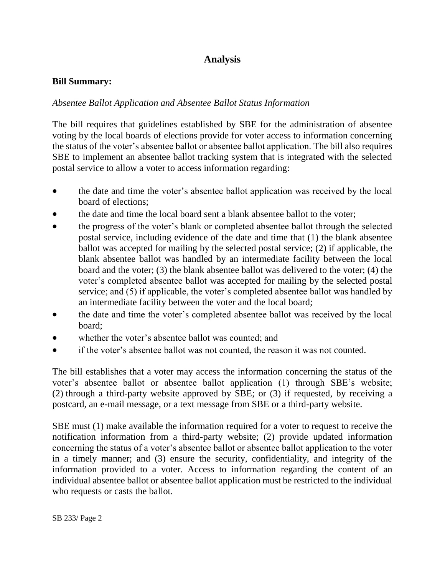# **Analysis**

## **Bill Summary:**

# *Absentee Ballot Application and Absentee Ballot Status Information*

The bill requires that guidelines established by SBE for the administration of absentee voting by the local boards of elections provide for voter access to information concerning the status of the voter's absentee ballot or absentee ballot application. The bill also requires SBE to implement an absentee ballot tracking system that is integrated with the selected postal service to allow a voter to access information regarding:

- the date and time the voter's absentee ballot application was received by the local board of elections;
- the date and time the local board sent a blank absentee ballot to the voter;
- the progress of the voter's blank or completed absentee ballot through the selected postal service, including evidence of the date and time that (1) the blank absentee ballot was accepted for mailing by the selected postal service; (2) if applicable, the blank absentee ballot was handled by an intermediate facility between the local board and the voter; (3) the blank absentee ballot was delivered to the voter; (4) the voter's completed absentee ballot was accepted for mailing by the selected postal service; and (5) if applicable, the voter's completed absentee ballot was handled by an intermediate facility between the voter and the local board;
- the date and time the voter's completed absentee ballot was received by the local board;
- whether the voter's absentee ballot was counted; and
- if the voter's absentee ballot was not counted, the reason it was not counted.

The bill establishes that a voter may access the information concerning the status of the voter's absentee ballot or absentee ballot application (1) through SBE's website; (2) through a third-party website approved by SBE; or (3) if requested, by receiving a postcard, an e-mail message, or a text message from SBE or a third-party website.

SBE must (1) make available the information required for a voter to request to receive the notification information from a third-party website; (2) provide updated information concerning the status of a voter's absentee ballot or absentee ballot application to the voter in a timely manner; and (3) ensure the security, confidentiality, and integrity of the information provided to a voter. Access to information regarding the content of an individual absentee ballot or absentee ballot application must be restricted to the individual who requests or casts the ballot.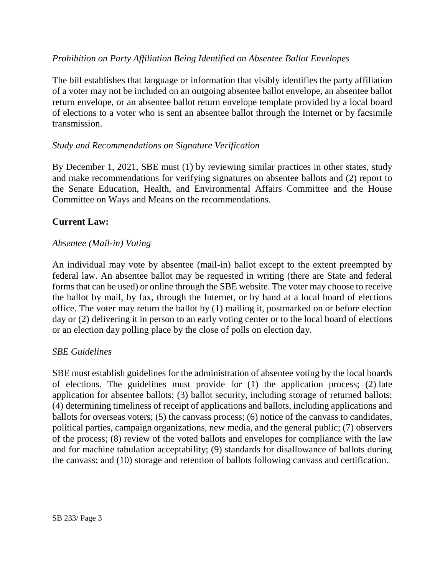# *Prohibition on Party Affiliation Being Identified on Absentee Ballot Envelopes*

The bill establishes that language or information that visibly identifies the party affiliation of a voter may not be included on an outgoing absentee ballot envelope, an absentee ballot return envelope, or an absentee ballot return envelope template provided by a local board of elections to a voter who is sent an absentee ballot through the Internet or by facsimile transmission.

## *Study and Recommendations on Signature Verification*

By December 1, 2021, SBE must (1) by reviewing similar practices in other states, study and make recommendations for verifying signatures on absentee ballots and (2) report to the Senate Education, Health, and Environmental Affairs Committee and the House Committee on Ways and Means on the recommendations.

## **Current Law:**

### *Absentee (Mail-in) Voting*

An individual may vote by absentee (mail-in) ballot except to the extent preempted by federal law. An absentee ballot may be requested in writing (there are State and federal forms that can be used) or online through the SBE website. The voter may choose to receive the ballot by mail, by fax, through the Internet, or by hand at a local board of elections office. The voter may return the ballot by (1) mailing it, postmarked on or before election day or (2) delivering it in person to an early voting center or to the local board of elections or an election day polling place by the close of polls on election day.

#### *SBE Guidelines*

SBE must establish guidelines for the administration of absentee voting by the local boards of elections. The guidelines must provide for (1) the application process; (2) late application for absentee ballots; (3) ballot security, including storage of returned ballots; (4) determining timeliness of receipt of applications and ballots, including applications and ballots for overseas voters; (5) the canvass process; (6) notice of the canvass to candidates, political parties, campaign organizations, new media, and the general public; (7) observers of the process; (8) review of the voted ballots and envelopes for compliance with the law and for machine tabulation acceptability; (9) standards for disallowance of ballots during the canvass; and (10) storage and retention of ballots following canvass and certification.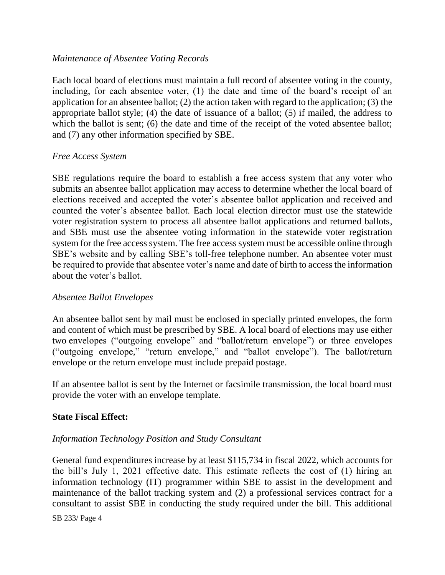## *Maintenance of Absentee Voting Records*

Each local board of elections must maintain a full record of absentee voting in the county, including, for each absentee voter, (1) the date and time of the board's receipt of an application for an absentee ballot; (2) the action taken with regard to the application; (3) the appropriate ballot style; (4) the date of issuance of a ballot; (5) if mailed, the address to which the ballot is sent; (6) the date and time of the receipt of the voted absentee ballot; and (7) any other information specified by SBE.

### *Free Access System*

SBE regulations require the board to establish a free access system that any voter who submits an absentee ballot application may access to determine whether the local board of elections received and accepted the voter's absentee ballot application and received and counted the voter's absentee ballot. Each local election director must use the statewide voter registration system to process all absentee ballot applications and returned ballots, and SBE must use the absentee voting information in the statewide voter registration system for the free access system. The free access system must be accessible online through SBE's website and by calling SBE's toll-free telephone number. An absentee voter must be required to provide that absentee voter's name and date of birth to access the information about the voter's ballot.

#### *Absentee Ballot Envelopes*

An absentee ballot sent by mail must be enclosed in specially printed envelopes, the form and content of which must be prescribed by SBE. A local board of elections may use either two envelopes ("outgoing envelope" and "ballot/return envelope") or three envelopes ("outgoing envelope," "return envelope," and "ballot envelope"). The ballot/return envelope or the return envelope must include prepaid postage.

If an absentee ballot is sent by the Internet or facsimile transmission, the local board must provide the voter with an envelope template.

#### **State Fiscal Effect:**

## *Information Technology Position and Study Consultant*

General fund expenditures increase by at least \$115,734 in fiscal 2022, which accounts for the bill's July 1, 2021 effective date. This estimate reflects the cost of (1) hiring an information technology (IT) programmer within SBE to assist in the development and maintenance of the ballot tracking system and (2) a professional services contract for a consultant to assist SBE in conducting the study required under the bill. This additional

SB 233/ Page 4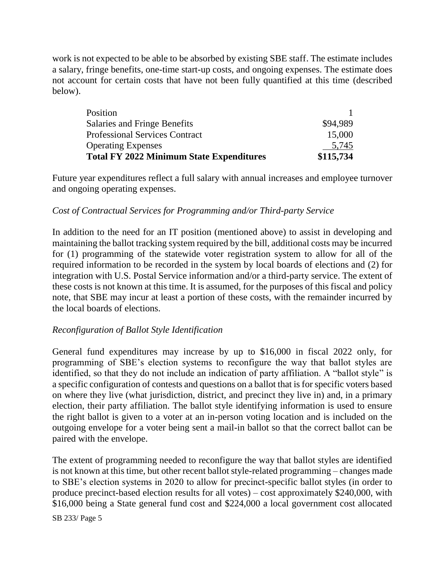work is not expected to be able to be absorbed by existing SBE staff. The estimate includes a salary, fringe benefits, one-time start-up costs, and ongoing expenses. The estimate does not account for certain costs that have not been fully quantified at this time (described below).

| <b>Total FY 2022 Minimum State Expenditures</b> | \$115,734 |
|-------------------------------------------------|-----------|
| <b>Operating Expenses</b>                       | 5,745     |
| <b>Professional Services Contract</b>           | 15,000    |
| Salaries and Fringe Benefits                    | \$94.989  |
| Position                                        |           |

Future year expenditures reflect a full salary with annual increases and employee turnover and ongoing operating expenses.

## *Cost of Contractual Services for Programming and/or Third-party Service*

In addition to the need for an IT position (mentioned above) to assist in developing and maintaining the ballot tracking system required by the bill, additional costs may be incurred for (1) programming of the statewide voter registration system to allow for all of the required information to be recorded in the system by local boards of elections and (2) for integration with U.S. Postal Service information and/or a third-party service. The extent of these costs is not known at this time. It is assumed, for the purposes of this fiscal and policy note, that SBE may incur at least a portion of these costs, with the remainder incurred by the local boards of elections.

#### *Reconfiguration of Ballot Style Identification*

General fund expenditures may increase by up to \$16,000 in fiscal 2022 only, for programming of SBE's election systems to reconfigure the way that ballot styles are identified, so that they do not include an indication of party affiliation. A "ballot style" is a specific configuration of contests and questions on a ballot that is for specific voters based on where they live (what jurisdiction, district, and precinct they live in) and, in a primary election, their party affiliation. The ballot style identifying information is used to ensure the right ballot is given to a voter at an in-person voting location and is included on the outgoing envelope for a voter being sent a mail-in ballot so that the correct ballot can be paired with the envelope.

The extent of programming needed to reconfigure the way that ballot styles are identified is not known at this time, but other recent ballot style-related programming – changes made to SBE's election systems in 2020 to allow for precinct-specific ballot styles (in order to produce precinct-based election results for all votes) – cost approximately \$240,000, with \$16,000 being a State general fund cost and \$224,000 a local government cost allocated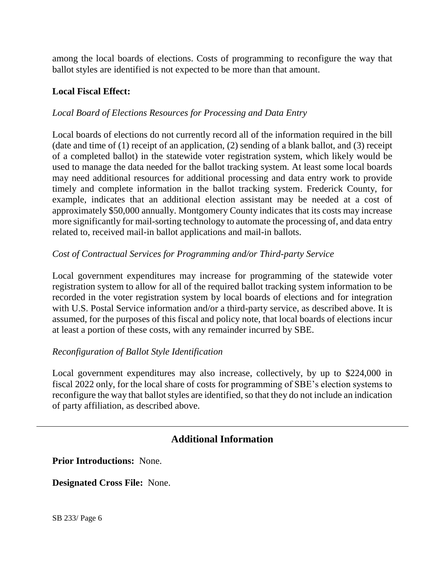among the local boards of elections. Costs of programming to reconfigure the way that ballot styles are identified is not expected to be more than that amount.

# **Local Fiscal Effect:**

# *Local Board of Elections Resources for Processing and Data Entry*

Local boards of elections do not currently record all of the information required in the bill (date and time of (1) receipt of an application, (2) sending of a blank ballot, and (3) receipt of a completed ballot) in the statewide voter registration system, which likely would be used to manage the data needed for the ballot tracking system. At least some local boards may need additional resources for additional processing and data entry work to provide timely and complete information in the ballot tracking system. Frederick County, for example, indicates that an additional election assistant may be needed at a cost of approximately \$50,000 annually. Montgomery County indicates that its costs may increase more significantly for mail-sorting technology to automate the processing of, and data entry related to, received mail-in ballot applications and mail-in ballots.

## *Cost of Contractual Services for Programming and/or Third-party Service*

Local government expenditures may increase for programming of the statewide voter registration system to allow for all of the required ballot tracking system information to be recorded in the voter registration system by local boards of elections and for integration with U.S. Postal Service information and/or a third-party service, as described above. It is assumed, for the purposes of this fiscal and policy note, that local boards of elections incur at least a portion of these costs, with any remainder incurred by SBE.

#### *Reconfiguration of Ballot Style Identification*

Local government expenditures may also increase, collectively, by up to \$224,000 in fiscal 2022 only, for the local share of costs for programming of SBE's election systems to reconfigure the way that ballot styles are identified, so that they do not include an indication of party affiliation, as described above.

# **Additional Information**

**Prior Introductions:** None.

**Designated Cross File:** None.